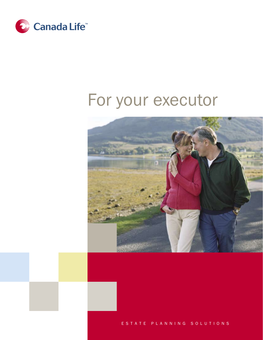

# For your executor



ESTATE PLANNING SOLUTIONS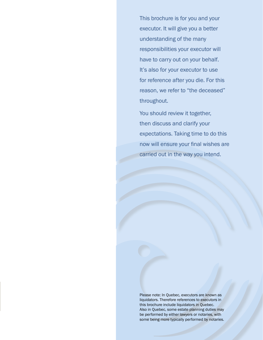This brochure is for you and your executor. it will give you a better understanding of the many responsibilities your executor will have to carry out on your behalf. it's also for your executor to use for reference after you die. For this reason, we refer to "the deceased" throughout.

You should review it together, then discuss and clarify your expectations. Taking time to do this now will ensure your final wishes are carried out in the way you intend.

please note: in Quebec, executors are known as liquidators. Therefore references to executors in this brochure include liquidators in Quebec. also in Quebec, some estate planning duties may be performed by either lawyers or notaries, with some being more typically performed by notaries.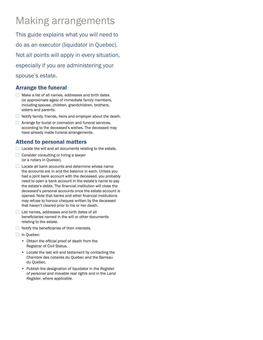## Making arrangements

This guide explains what you will need to do as an executor (liquidator in Quebec). Not all points will apply in every situation, especially if you are administering your spouse's estate.

#### Arrange the funeral

- $\Box$  Make a list of all names, addresses and birth dates (or approximate ages) of immediate family members, including spouse, children, grandchildren, brothers, sisters and parents.
- $\Box$  Notify family, friends, heirs and employer about the death.
- **E** Arrange for burial or cremation and funeral services, according to the deceased's wishes. The deceased may have already made funeral arrangements.

#### Attend to personal matters

- $\Box$  Locate the will and all documents relating to the estate.
- $\Box$  Consider consulting or hiring a lawyer (or a notary in Quebec).
- $\Box$  Locate all bank accounts and determine whose name the accounts are in and the balance in each. Unless you had a joint bank account with the deceased, you probably need to open a bank account in the estate's name to pay the estate's debts. The financial institution will close the deceased's personal accounts once the estate account is opened. Note that banks and other financial institutions may refuse to honour cheques written by the deceased that haven't cleared prior to his or her death.
- $\Box$  List names, addresses and birth dates of all beneficiaries named in the will or other documents relating to the estate.
- $\Box$  Notify the beneficiaries of their interests.
- $\Box$  In Quebec:
	- Obtain the official proof of death from the Registrar of Civil Status.
	- Locate the last will and testament by contacting the Chambre des notaires du Quebec and the Barreau du Quebec.
	- Publish the designation of liquidator in the *Register of personal and movable real rights* and in the *Land Register*, where applicable.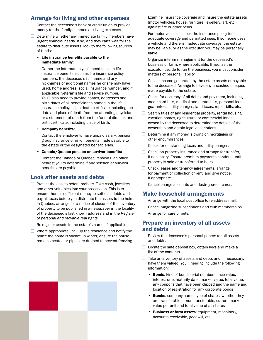#### Arrange for living and other expenses

- $\Box$  Contact the deceased's bank or credit union to provide money for the family's immediate living expenses.
- $\Box$  Determine whether any immediate family members have urgent financial needs. If so, and they can't wait for the estate to distribute assets, look to the following sources of funds:
	- Life insurance benefits payable to the immediate family:

 Gather the information you'll need to claim life insurance benefits, such as life insurance policy numbers, the deceased's full name and any nicknames or additional names he or she may have used, home address, social insurance number, and if applicable, veteran's file and service number. You'll also need to provide names, addresses and birth dates of all beneficiaries named in the life insurance policy(ies), a death certificate including the date and place of death from the attending physician or a statement of death from the funeral director, and birth certificate, including place of birth.

• Company benefits:

Contact the employer to have unpaid salary, pension, group insurance or union benefits made payable to the estate or the designated beneficiaries.

• Canada/Quebec pension or survivor benefits:

Contact the Canada or Quebec Pension Plan office nearest you to determine if any pension or survivor benefits are payable.

#### Look after assets and debts

- $\Box$  Protect the assets before probate. Take cash, jewellery and other valuables into your possession. This is to ensure there is sufficient money to settle all debts and pay all taxes before you distribute the assets to the heirs. In Quebec, arrange for a notice of closure of the inventory of property to be published in a newspaper in the locality of the deceased's last known address and in the *Register of personal and movable real rights*.
- $\Box$  Re-register assets in the estate's name, if applicable.
- $\Box$  Where appropriate, lock up the residence and notify the police the home is vacant. In winter, ensure the house remains heated or pipes are drained to prevent freezing.
- $\Box$  Examine insurance coverage and insure the estate assets (motor vehicles, house, furniture, jewellery, art, etc.) against fire or other perils.
- $\Box$  For motor vehicles, check the insurance policy for adequate coverage and permitted uses. If someone uses a vehicle and there is inadequate coverage, the estate may be liable, or as the executor, you may be personally liable.
- $\Box$  Organize interim management for the deceased's business or farm, where applicable. If you, as the executor, decide to run the business, you must consider matters of personal liability.
- $\Box$  Collect income generated by the estate assets or payable to the deceased. Arrange to have any uncashed cheques made payable to the estate.
- $\Box$  Check for accuracy of all debts and pay them, including credit card bills, medical and dental bills, personal loans, guarantees, utility charges, land taxes, repair bills, etc.
- $\Box$  Search titles of any residential property, rental housing, vacation homes, agricultural or commercial lands owned by the deceased to determine the details of the ownership and obtain legal descriptions.
- $\Box$  Determine if any money is owing on mortgages or other encumbrances.
- $\Box$  Check for outstanding taxes and utility charges.
- $\Box$  Check on property insurance and arrange for transfer, if necessary. Ensure premium payments continue until property is sold or transferred to heirs.
- □ Check leases and tenancy agreements, arrange for payment or collection of rent, and give notice, if appropriate.
- $\Box$  Cancel charge accounts and destroy credit cards.

#### Make household arrangements

- $\Box$  Arrange with the local post office to re-address mail.
- $\Box$  Cancel magazine subscriptions and club memberships.
- $\Box$  Arrange for care of pets.

#### Prepare an inventory of all assets and debts

- $\Box$  Review the deceased's personal papers for all assets and debts.
- $\Box$  Locate the safe deposit box, obtain keys and make a list of the contents.
- $\Box$  Take an inventory of assets and debts and, if necessary, have them valued. You'll need to include the following information:
	- Bonds: kind of bond, serial numbers, face value, interest rate, maturity date, market value, total value, any coupons that have been clipped and the name and location of registration for any corporate bonds
	- Stocks: company name, type of shares, whether they are transferable or non-transferable, current market value per unit and total value of all shares
	- **Business or farm assets: equipment, machinery,** accounts receivable, goodwill, etc.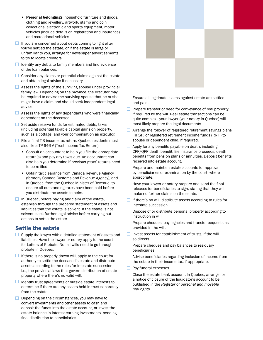- Personal belongings: household furniture and goods, clothing and jewellery, artwork, stamp and coin collections, electronic and sports equipment, motor vehicles (include details on registration and insurance) and recreational vehicles
- $\Box$  If you are concerned about debts coming to light after you've settled the estate, or if the estate is large or unfamiliar to you, arrange for newspaper advertisements to try to locate creditors.
- $\Box$  Identify any debts to family members and find evidence of the loan balances.
- $\Box$  Consider any claims or potential claims against the estate and obtain legal advice if necessary.
- $\Box$  Assess the rights of the surviving spouse under provincial family law. Depending on the province, the executor may be required to advise the surviving spouse that he or she might have a claim and should seek independent legal advice.
- $\Box$  Assess the rights of any dependants who were financially dependent on the deceased.
- $\Box$  Set aside reserve funds for estimated debts, taxes (including potential taxable capital gains on property, such as a cottage) and your compensation as executor.
- $\Box$  File a final T-3 income tax return. Quebec residents must also file a TP-646-V (Trust Income Tax Return).
	- Consult an accountant to help you file the appropriate return(s) and pay any taxes due. An accountant can also help you determine if previous years' returns need to be re-filed.
	- Obtain tax clearance from Canada Revenue Agency (formerly Canada Customs and Revenue Agency), and in Quebec, from the Quebec Minister of Revenue, to ensure all outstanding taxes have been paid before you distribute the assets to heirs.
- $\Box$  In Quebec, before paying any claim of the estate, establish through the prepared statement of assets and liabilities that the estate is solvent. If the estate is not solvent, seek further legal advice before carrying out actions to settle the estate.

#### Settle the estate

- $\Box$  Supply the lawyer with a detailed statement of assets and liabilities. Have the lawyer or notary apply to the court for Letters of Probate. Not all wills need to go through probate in Quebec.
- If there is no properly drawn will, apply to the court for authority to settle the deceased's estate and distribute assets according to the rules for intestate succession, i.e., the provincial laws that govern distribution of estate property where there's no valid will.
- $\Box$  Identify trust agreements or outside estate interests to determine if there are any assets held in trust separately from the estate.
- $\Box$  Depending on the circumstances, you may have to convert investments and other assets to cash and deposit the funds into the estate account, or invest the estate balance in interest-earning investments, pending final distribution to beneficiaries.



- $\Box$  Ensure all legitimate claims against estate are settled and paid.
- $\Box$  Prepare transfer or deed for conveyance of real property, if required by the will. Real estate transactions can be quite complex - your lawyer (your notary in Quebec) will most likely prepare the legal documents.
- $\Box$  Arrange the rollover of registered retirement savings plans (RRSP) or registered retirement income funds (RRIF) to spouse or dependent child, if required.
- $\Box$  Apply for any benefits payable on death, including CPP/QPP death benefit, life insurance proceeds, death benefits from pension plans or annuities. Deposit benefits received into estate account.
- $\Box$  Prepare and maintain estate accounts for approval by beneficiaries or examination by the court, where appropriate.
- $\Box$  Have your lawyer or notary prepare and send the final releases for beneficiaries to sign, stating that they will make no further claims on the estate.
- $\Box$  If there's no will, distribute assets according to rules for intestate succession.
- $\Box$  Dispose of or distribute personal property according to instruction in will.
- $\Box$  Prepare cheques, pay legacies and transfer bequests as provided in the will.
- $\Box$  Invest assets for establishment of trusts, if the will so directs.
- $\Box$  Prepare cheques and pay balances to residuary beneficiaries.
- Advise beneficiaries regarding inclusion of income from the estate in their income tax, if appropriate.
- $\Box$  Pay funeral expenses.
- $\Box$  Close the estate bank account. In Quebec, arrange for a notice of closure of the liquidator's account to be published in the *Register of personal and movable real rights.*